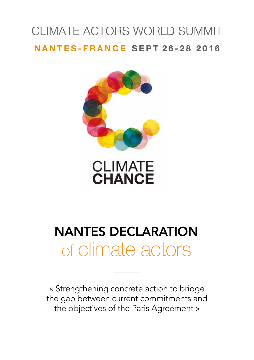# CLIMATE ACTORS WORLD SUMMIT **NANTES-FRANCE SEPT 26-28 2016**



# **CLIMATE**<br>CHANCE

# NANTES DECLARATION of climate actors

« Strengthening concrete action to bridge the gap between current commitments and the objectives of the Paris Agreement »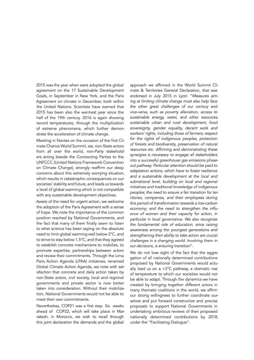2015 was the year when were adopted the global agreement on the 17 Sustainable Development Goals, in September in New York, and the Paris Agreement on climate in December, both within the United Nations. Scientists have warned that 2015 has been also the warmest year since the half of the 19th century. 2016 is again showing record temperatures, through the multiplication of extreme phenomena, which further demonstrate the acceleration of climate change.

Meeting in Nantes on the occasion of the first Climate Chance World Summit, we, non-State actors from all over the world, non-Party stakeholders acting beside the Contracting Parties to the UNFCCC (United Nations Framework Convention on Climate Change), strongly reaffirm our deep concerns about this extremely worrying situation, which results in catastrophic consequences on our societies' stability and future, and leads us towards a level of global warming which is not compatible with any sustainable development objectives.

Aware of the need for urgent action, we welcome the adoption of the Paris Agreement with a sense of hope. We note the importance of the common position reached by National Governments, and the fact that many of them finally seem to listen to what science has been saying on the absolute need to limit global warming well below 2°C, and to strive to stay below 1.5°C, and that they agreed to establish concrete mechanisms to mobilize, to promote expertise, partnerships between actors and review their commitments. Through the Lima Paris Action Agenda (LPAA) initiatives, renamed Global Climate Action Agenda, we note with satisfaction that concrete and daily action taken by non-State actors, civil society, local and regional governments and private sector is now better taken into consideration. Without their mobilization, National Governments would not be able to meet their own commitments.

Nevertheless, COP21 was a first step. Six weeks ahead of COP22, which will take place in Marrakesh, in Morocco, we wish to recall through this joint declaration the demands and the global

approach we affirmed in the World Summit Climate & Territories General Declaration, that was endorsed in July 2015 in Lyon: "*Measures aiming at limiting climate change must also help face the other great challenges of our century and vice-versa, such as poverty alleviation, access to sustainable energy, water, and other resources, sustainable urban and rural development, food sovereignty, gender equality, decent work and workers' rights, including those of farmers; respect for the rights of indigenous peoples, protection of forests and biodiversity, preservation of natural*  resources etc. Affirming and demonstrating these *synergies is necessary to engage all stakeholders into a successful greenhouse gas emissions phaseout pathway. Particular attention should be paid to adaptation actions, which have to foster resilience and a sustainable development at the local and subnational level, building on local and regional initiatives and traditional knowledge of indigenous peoples; the need to ensure a fair transition for territories, companies, and their employees during this period of transformation towards a low-carbon*  economy; and the need to strengthen the influ*ence of women and their capacity for action, in particular in local governance. We also recognize the fundamental role of education, since raising awareness among the youngest generations and strengthening their ability to take action are crucial challenges in a changing world. Involving them in our decisions, is ensuring transition*".

We do not lose sight of the fact that the aggregation of all nationally determined contributions proposed by National Governments would actually lead us on a  $+3^{\circ}$ C pathway, a dramatic rise of temperature to which our societies would not be able to adapt. Through the dynamics we have created by bringing together different actors in many thematic coalitions in the world, we affirm our strong willingness to further coordinate ourselves and put forward constructive and precise proposals to support National Governments in undertaking ambitious reviews of their proposed nationally determined contributions by 2018, under the "Facilitating Dialogue".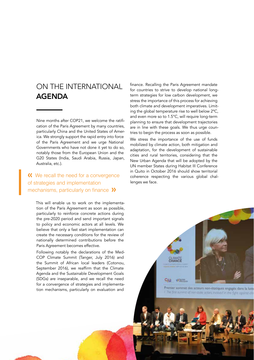## ON THE INTERNATIONAL AGENDA

Nine months after COP21, we welcome the ratification of the Paris Agreement by many countries, particularly China and the United States of America. We strongly support the rapid entry into force of the Paris Agreement and we urge National Governments who have not done it yet to do so, notably those from the European Union and the G20 States (India, Saudi Arabia, Russia, Japan, Australia, etc.).

#### **K** We recall the need for a convergence of strategies and implementation mechanisms, particularly on finance  $\lambda$

This will enable us to work on the implementation of the Paris Agreement as soon as possible, particularly to reinforce concrete actions during the pre-2020 period and send important signals to policy and economic actors at all levels. We believe that only a fast start implementation can create the necessary conditions for the review of nationally determined contributions before the Paris Agreement becomes effective.

Following notably the declarations of the Med-COP Climate Summit (Tanger, July 2016) and the Summit of African local leaders (Cotonou, September 2016), we reaffirm that the Climate Agenda and the Sustainable Development Goals (SDGs) are inseparable, and we recall the need for a convergence of strategies and implementation mechanisms, particularly on evaluation and

finance. Recalling the Paris Agreement mandate for countries to strive to develop national longterm strategies for low carbon development, we stress the importance of this process for achieving both climate and development imperatives. Limiting the global temperature rise to well below 2ºC, and even more so to 1.5°C, will require long-term planning to ensure that development trajectories are in line with these goals. We thus urge countries to begin the process as soon as possible.

We stress the importance of the use of funds mobilized by climate action, both mitigation and adaptation, for the development of sustainable cities and rural territories, considering that the New Urban Agenda that will be adopted by the UN member States during Habitat III Conference in Quito in October 2016 should show territorial coherence respecting the various global challenges we face.

> CLIMATE Cite **Pillotto**

Premier sommet des acteurs non-étatiques engagés dans la lutte The first summit of non-state actors involved in the fight against clin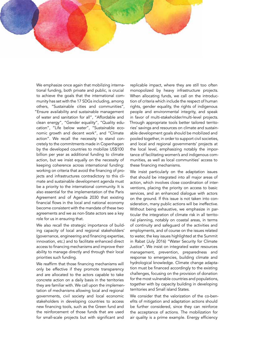We emphasize once again that mobilizing international funding, both private and public, is crucial to achieve the goals that the international community has set with the 17 SDGs including, among others, "Sustainable cities and communities", "Ensure availability and sustainable management of water and sanitation for all", "Affordable and clean energy", "Gender equality", "Quality education", "Life below water", "Sustainable economic growth and decent work", and "Climate action". We recall the necessity to stand concretely to the commitments made in Copenhagen by the developed countries to mobilize US\$100 billion per year as additional funding to climate action, but we insist equally on the necessity of keeping coherence across international funding: working on criteria that avoid the financing of projects and infrastructures contradictory to this climate and sustainable development agenda must be a priority to the international community. It is also essential for the implementation of the Paris Agreement and of Agenda 2030 that existing financial flows in the local and national economy become consistent with the mandate of these two agreements and we as non-State actors see a key role for us in ensuring that.

We also recall the strategic importance of building capacity of local and regional stakeholders' (governance, engineering and financing expertise, innovation, etc.) and to facilitate enhanced direct access to financing mechanisms and improve their ability to manage directly and through their local priorities such funding.

We reaffirm that those financing mechanisms will only be effective if they promote transparency and are allocated to the actors capable to take concrete action on a daily basis in the territories they are familiar with. We call upon the implementation of mechanisms allowing local and regional governments, civil society and local economic stakeholders in developing countries to access new financing tools, such as the Green fund and the reinforcement of those funds that are used for small-scale projects but with significant and

replicable impact, where they are still too often monopolized by heavy infrastructure projects. When allocating funds, we call on the introduction of criteria which include the respect of human rights, gender equality, the rights of indigenous people and environmental integrity, and speak in favor of multi-stakeholder/multi-level projects. Through appropriate tools better tailored territories' savings and resources on climate and sustainable development goals should be mobilized and pooled together, in order to support civil societies, and local and regional governments' projects at the local level, emphasizing notably the importance of facilitating women's and indigenous communities, as well as local communities' access to these financing mechanisms.

We insist particularly on the adaptation issues that should be integrated into all major areas of action, which involves close coordination of interventions, placing the priority on access to basic services, and an enhanced dialogue with actors on the ground. If this issue is not taken into consideration, many public actions will be ineffective. Without being exhaustive, we emphasize in particular the integration of climate risk in all territorial planning, notably on coastal areas, in terms of continuity and safeguard of the activities and employments, and of course on the issues related to water, the key issues highlighted at the Summit in Rabat (July 2016) "Water Security for Climate Justice". We insist on integrated water resources management, prevention, preparedness and response to emergencies, building climate and hydrological knowledge. Climate change adaptation must be financed accordingly to the existing challenges, focusing on the provision of donation for the most vulnerable countries and populations, together with by capacity building in developing territories and Small island States.

We consider that the valorization of the co-benefits of mitigation and adaptation actions should be further considered, since they can reinforce the acceptance of actions. The mobilization for air quality is a prime example. Energy efficiency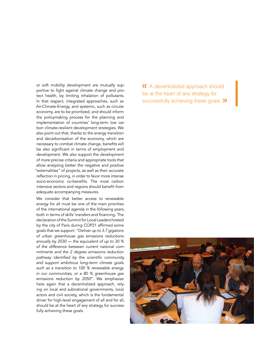or soft mobility development are mutually supportive to fight against climate change and protect health, by limiting inhalation of pollutants. In that respect, integrated approaches, such as Air-Climate-Energy, and systemic, such as circular economy, are to be prioritized, and should inform the policymaking process for the planning and implementation of countries' long-term low carbon climate-resilient development strategies. We also point out that, thanks to the energy transition and decarbonisation of the economy, which are necessary to combat climate change, benefits will be also significant in terms of employment and development. We also support the development of more precise criteria and appropriate tools that allow analyzing better the negative and positive "externalities" of projects, as well as their accurate reflection in pricing, in order to favor more intense socio-economic co-benefits. The most carbon intensive sectors and regions should benefit from adequate accompanying measures.

We consider that better access to renewable energy for all must be one of the main priorities of the international agenda in the following years, both in terms of skills' transfers and financing. The declaration of the Summit for Local Leaders hosted by the city of Paris during COP21 affirmed some goals that we support: "D*eliver up to 3.7 gigatons of urban greenhouse gas emissions reductions annually by 2030 — the equivalent of up to 30 % of the difference between current national commitments and the 2 degree emissions reduction*  pathway identified by the scientific community, *and support ambitious long-term climate goals such as a transition to 100 % renewable energy in our communities, or a 80 % greenhouse gas emissions reduction by 2050*". We emphasize here again that a decentralized approach, relying on local and subnational governments, local actors and civil society, which is the fundamental driver for high-level engagement of all and for all, should be at the heart of any strategy for successfully achieving these goals.

 A decentralized approach should be at the heart of any strategy for successfully achieving these goals >>>

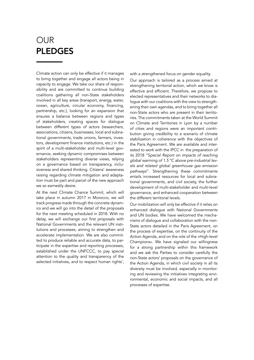# OUR PLEDGES

Climate action can only be effective if it manages to bring together and engage all actors being in capacity to engage. We take our share of responsibility and are committed to continue building coalitions gathering all non-State stakeholders involved in all key areas (transport, energy, water, ocean, agriculture, circular economy, financing, partnership, etc.), looking for an expansion that ensures a balance between regions and types of stakeholders, creating spaces for dialogue between different types of actors (researchers, associations, citizens, businesses, local and subnational governments, trade unions, farmers, investors, development finance institutions, etc.) in the spirit of a multi-stakeholder and multi-level governance, seeking dynamic compromises between stakeholders representing diverse views, relying on a governance based on transparency, inclusiveness and shared thinking. Citizens' awareness raising regarding climate mitigation and adaptation must be part and parcel of the new approach we so earnestly desire.

At the next Climate Chance Summit, which will take place in autumn 2017 in Morocco, we will track progress made through the concrete dynamics and we will go into the detail of the proposals for the next meeting scheduled in 2018. With no delay, we will exchange our first proposals with National Governments and the relevant UN institutions and processes, aiming to strengthen and accelerate implementation. We are also committed to produce reliable and accurate data, to participate in the expertise and reporting processes, established under the UNFCCC, to pay special attention to the quality and transparency of the selected initiatives, and to respect human rights',

with a strengthened focus on gender equality.

Our approach is tailored as a process aimed at strengthening territorial action, which we know is effective and efficient. Therefore, we propose to elected representatives and their networks to dialogue with our coalitions with the view to strengthening their own agendas, and to bring together all non-State actors who are present in their territories. The commitments taken at the World Summit on Climate and Territories in Lyon by a number of cities and regions were an important contribution giving credibility to a scenario of climate stabilization in coherence with the objectives of the Paris Agreement. We are available and interested to work with the IPCC in the preparation of its 2018 "S*pecial Report on impacts of reaching global warming of 1.5 °C above pre-industrial levels and related global greenhouse gas emission pathways*". Strengthening these commitments entails increased resources for local and subnational governments, and civil society, the further development of multi-stakeholder and multi-level governance, and enhanced cooperation between the different territorial levels.

Our mobilization will only be effective if it relies on enhanced dialogue with National Governments and UN bodies. We have welcomed the mechanisms of dialogue and collaboration with the non-State actors detailed in the Paris Agreement, on the process of expertise, on the continuity of the Action Agenda, and on the role of the «High-level Champions». We have signaled our willingness for a strong partnership within this framework and we ask the Parties to consider carefully the non-State actors' proposals on the governance of the Action Agenda, in which civil society in all its diversity must be involved, especially in monitoring and reviewing the initiatives integrating environmental, economic and social impacts, and all processes of expertise.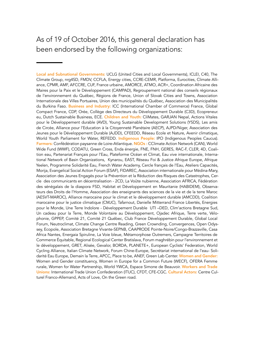### As of 19 of October 2016, this general declaration has been endorsed by the following organizations:

Local and Subnational Governments: UCLG (United Cities and Local Governments), ICLEI, C40, The Climate Group, nrg4SD, FMDV, CCFLA, Energy cities, CCRE-CEMR, Platforma, Eurocities, Climate Alliance, CPMR, AMF, AFCCRE, CUF, France urbaine, AMORCE, ATMO, ACR+, Coordination Africaine des Maires pour la Paix et le Développement (CAMPAD), Regroupement national des conseils régionaux de l'environnement du Québec, Régions de France, Union of Slovak Cities and Towns, Association Internationale des Villes Portuaires, Union des municipalités du Québec, Association des Municipalités du Burkina Faso. Business and Industry: ICC (International Chamber of Commerce) France, Global Compact France, CDP, Orée, Collège des Directeurs du Développement Durable (C3D), Ecopreneur. eu, Dutch Sustainable Business, ECE. Children and Youth: CliMates, GARJAN Nepal, Actions Vitales pour le Développement durable (AVD), Young Sustainable Development Solutions (YSDS), Les amis de Circée, Alliance pour l'Education à la Citoyenneté Planétaire (AECP), AJPD/Niger, Association des Jeunes pour le Développement Durable (AJDD), CFEEDD, Réseau Ecole et Nature, Avenir climatique, World Youth Parliament for Water, REFEDD. Indigenous People: IPO (Indigenous Peoples Caucus). Farmers: Confédération paysanne de Loire-Atlantique. NGOs : CClimate Action Network (CAN), World Wide Fund (WWF), CODATU, Green Cross, Enda énergie, FNE, FNH, GERES, RAC-F, CLER, 4D, Coalition eau, Partenariat Français pour l'Eau, Plateforme Océan et Climat, Eau vive internationale, International Network of Basin Organizations, Kynarou, EAST, Réseau Foi & Justice Afrique Europe, Afrique Yeelen, Programme Solidarité Eau, French Water Academy, Cercle français de l'Eau, Ateliers Capacités, Morija, Evangelical Social Action Forum (ESAF), FIDAREC, Association internationale pour Médina-Mary, Association des Jeunes Engagés pour la Prévention et la Réduction des Risques des Catastrophes, Cercle des communicants en décentralisation - 2CD, La Voûte nubienne, Association AFRICA, Fédération des sénégalais de la diaspora FSD, Habitat et Développement en Mauritanie (HABIDEM), Observateurs des Droits de l'Homme, Association des enseignants des sciences de la vie et de la terre Maroc (AESVT-MAROC), Alliance marocaine pour le climat et le développement durable (AMCDD), Coalition marocaine pour le justice climatique (CMJC), Tafarnout, Danielle Mitterrand France Libertés, Energies pour le Monde, Une Terre Indolore - Développement Durable UTI –DED, Clim'actions Bretagne Sud, Un cadeau pour la Terre, Monde Volontaire au Développement, Ojadec Afrique, Terre verte, Vélophonie, GPPEP, Comité 21, Comité 21 Québec, Club France Développement Durable, Global Local Forum, Neutroclimat, Climate Change Centre Reading, Green Crownding, Convergences, Open Odyssey, Ecopole, Association Bretagne Vivante-SEPNB, CAAPRODE Pointe-Noire/Congo-Brazzaville, Casa Africa Nantes, Energaia Spiruline, La Voie bleue, Métamorphose Outremers, Campagne Territoires de Commerce Équitable, Regional Ecological Center Bratislava, Forum maghrébin pour l'environnement et le développement, GRET, Alisée, Gevalor, BORDA, PLANETE+, European Cyclists' Federation, World Cycling Alliance, Italian Climate Network, Forum Chine-Europe, Secrétariat international de l'eau- Solidarité Eau Europe, Demain la Terre, APCC, Place to be, ANEF, Green Lab Center. Women and Gender: Women and Gender constituency, Women in Europe for a Common Future (WECF), OFERA Femme rurale, Women for Water Partnership, World YWCA, Espace Simone de Beauvoir. Workers and Trade Unions: International Trade Union Confederation (ITUC), CFDT, CFE-CGC. Cultural Actors: Centre Culturel Franco-Allemand, Acts of Love, On the Green road.